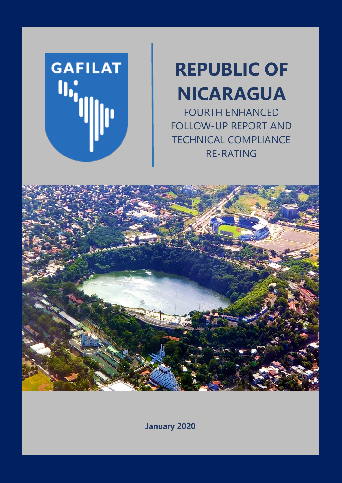**GAFILAT**  $\mathbf{u}_{\mathbf{q}}$ 

# **REPUBLIC OF NICARAGUA**

FOURTH ENHANCED FOLLOW-UP REPORT AND TECHNICAL COMPLIANCE RE-RATING



**January 2020**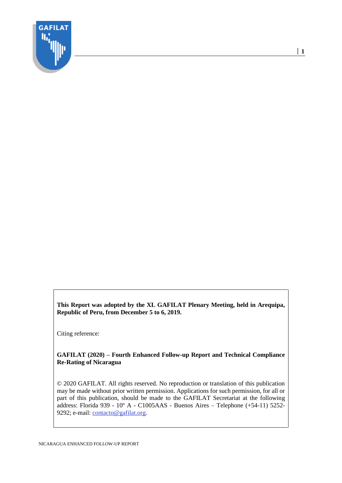

**This Report was adopted by the XL GAFILAT Plenary Meeting, held in Arequipa, Republic of Peru, from December 5 to 6, 2019.**

Citing reference:

#### **GAFILAT (2020) – Fourth Enhanced Follow-up Report and Technical Compliance Re-Rating of Nicaragua**

© 2020 GAFILAT. All rights reserved. No reproduction or translation of this publication may be made without prior written permission. Applications for such permission, for all or part of this publication, should be made to the GAFILAT Secretariat at the following address: Florida 939 - 10º A - C1005AAS - Buenos Aires – Telephone (+54-11) 5252 9292; e-mail: [contacto@gafilat.org.](mailto:contacto@gafilat.org)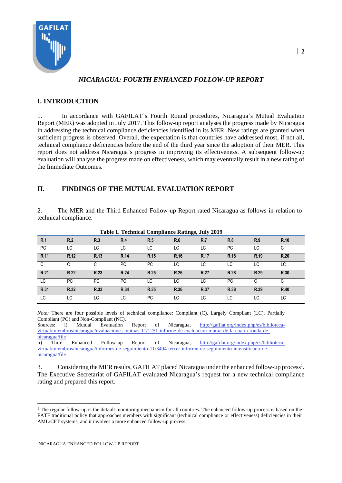

## *NICARAGUA: FOURTH ENHANCED FOLLOW-UP REPORT*

## **I. INTRODUCTION**

1. In accordance with GAFILAT's Fourth Round procedures, Nicaragua's Mutual Evaluation Report (MER) was adopted in July 2017. This follow-up report analyses the progress made by Nicaragua in addressing the technical compliance deficiencies identified in its MER. New ratings are granted when sufficient progress is observed. Overall, the expectation is that countries have addressed most, if not all, technical compliance deficiencies before the end of the third year since the adoption of their MER. This report does not address Nicaragua's progress in improving its effectiveness. A subsequent follow-up evaluation will analyse the progress made on effectiveness, which may eventually result in a new rating of the Immediate Outcomes.

## **II. FINDINGS OF THE MUTUAL EVALUATION REPORT**

2. The MER and the Third Enhanced Follow-up Report rated Nicaragua as follows in relation to technical compliance:

| Table 1. Technical Comphance Ratings, July 2012 |           |           |      |      |      |      |           |      |             |  |  |
|-------------------------------------------------|-----------|-----------|------|------|------|------|-----------|------|-------------|--|--|
| R.1                                             | R.2       | R.3       | R.4  | R.5  | R.6  | R.7  | R.8       | R.9  | R.10        |  |  |
| <b>PC</b>                                       | LC        | LC        | LC.  | LC   | LC   | LC   | <b>PC</b> | LC   | С           |  |  |
| R.11                                            | R.12      | R.13      | R.14 | R.15 | R.16 | R.17 | R.18      | R.19 | R.20        |  |  |
| C                                               | C         | C.        | PC.  | PC.  | LC   | LC   | LC        | LC.  | LC          |  |  |
| R.21                                            | R.22      | R.23      | R.24 | R.25 | R.26 | R.27 | R.28      | R.29 | R.30        |  |  |
| LC                                              | <b>PC</b> | <b>PC</b> | PC.  | LC   | LC   | LC   | PC.       |      | C           |  |  |
| R.31                                            | R.32      | R.33      | R.34 | R.35 | R.36 | R.37 | R.38      | R.39 | <b>R.40</b> |  |  |
| LC                                              | LC        | LC        | LC.  | PC.  | LC   | LC   | LC.       | LC.  | LC          |  |  |

**Table 1. Technical Compliance Ratings, July 2019**

Compliant (PC) and Non-Compliant (NC). Sources: i) Mutual Evaluation Report of Nicaragua, [http://gafilat.org/index.php/es/biblioteca](http://gafilat.org/index.php/es/biblioteca-virtual/miembros/nicaragua/evaluaciones-mutuas-11/1251-informe-de-evaluacion-mutua-de-la-cuarta-ronda-de-nicaragua/file)[virtual/miembros/nicaragua/evaluaciones-mutuas-11/1251-informe-de-evaluacion-mutua-de-la-cuarta-ronda-de](http://gafilat.org/index.php/es/biblioteca-virtual/miembros/nicaragua/evaluaciones-mutuas-11/1251-informe-de-evaluacion-mutua-de-la-cuarta-ronda-de-nicaragua/file)[nicaragua/file](http://gafilat.org/index.php/es/biblioteca-virtual/miembros/nicaragua/evaluaciones-mutuas-11/1251-informe-de-evaluacion-mutua-de-la-cuarta-ronda-de-nicaragua/file) ii) Third Enhanced Follow-up Report of Nicaragua, [http://gafilat.org/index.php/es/biblioteca](http://gafilat.org/index.php/es/biblioteca-virtual/miembros/nicaragua/informes-de-seguimiento-11/3494-tercer-informe-de-seguimiento-intensificado-de-nicaragua/file)[virtual/miembros/nicaragua/informes-de-seguimiento-11/3494-tercer-informe-de-seguimiento-intensificado-de-](http://gafilat.org/index.php/es/biblioteca-virtual/miembros/nicaragua/informes-de-seguimiento-11/3494-tercer-informe-de-seguimiento-intensificado-de-nicaragua/file)

*Note:* There are four possible levels of technical compliance: Compliant (C), Largely Compliant (LC), Partially

[nicaragua/file](http://gafilat.org/index.php/es/biblioteca-virtual/miembros/nicaragua/informes-de-seguimiento-11/3494-tercer-informe-de-seguimiento-intensificado-de-nicaragua/file) 3. Considering the MER results, GAFILAT placed Nicaragua under the enhanced follow-up process<sup>1</sup>.

The Executive Secretariat of GAFILAT evaluated Nicaragua's request for a new technical compliance rating and prepared this report.

 $1$  The regular follow-up is the default monitoring mechanism for all countries. The enhanced follow-up process is based on the FATF traditional policy that approaches members with significant (technical compliance or effectiveness) deficiencies in their AML/CFT systems, and it involves a more enhanced follow-up process.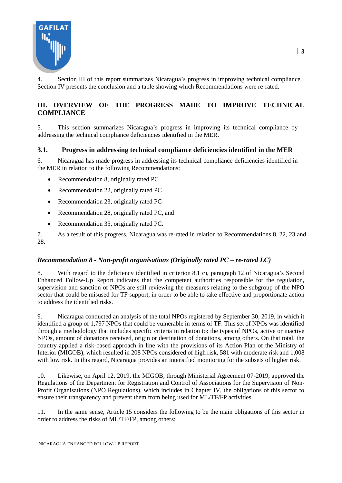

4. Section III of this report summarizes Nicaragua's progress in improving technical compliance. Section IV presents the conclusion and a table showing which Recommendations were re-rated.

## **III. OVERVIEW OF THE PROGRESS MADE TO IMPROVE TECHNICAL COMPLIANCE**

5. This section summarizes Nicaragua's progress in improving its technical compliance by addressing the technical compliance deficiencies identified in the MER.

#### **3.1. Progress in addressing technical compliance deficiencies identified in the MER**

6. Nicaragua has made progress in addressing its technical compliance deficiencies identified in the MER in relation to the following Recommendations:

- Recommendation 8, originally rated PC
- Recommendation 22, originally rated PC
- Recommendation 23, originally rated PC
- Recommendation 28, originally rated PC, and
- Recommendation 35, originally rated PC.

7. As a result of this progress, Nicaragua was re-rated in relation to Recommendations 8, 22, 23 and 28.

#### *Recommendation 8 - Non-profit organisations (Originally rated PC – re-rated LC)*

8. With regard to the deficiency identified in criterion 8.1 c), paragraph 12 of Nicaragua's Second Enhanced Follow-Up Report indicates that the competent authorities responsible for the regulation, supervision and sanction of NPOs are still reviewing the measures relating to the subgroup of the NPO sector that could be misused for TF support, in order to be able to take effective and proportionate action to address the identified risks.

9. Nicaragua conducted an analysis of the total NPOs registered by September 30, 2019, in which it identified a group of 1,797 NPOs that could be vulnerable in terms of TF. This set of NPOs was identified through a methodology that includes specific criteria in relation to: the types of NPOs, active or inactive NPOs, amount of donations received, origin or destination of donations, among others. On that total, the country applied a risk-based approach in line with the provisions of its Action Plan of the Ministry of Interior (MIGOB), which resulted in 208 NPOs considered of high risk, 581 with moderate risk and 1,008 with low risk. In this regard, Nicaragua provides an intensified monitoring for the subsets of higher risk.

10. Likewise, on April 12, 2019, the MIGOB, through Ministerial Agreement 07-2019, approved the Regulations of the Department for Registration and Control of Associations for the Supervision of Non-Profit Organisations (NPO Regulations), which includes in Chapter IV, the obligations of this sector to ensure their transparency and prevent them from being used for ML/TF/FP activities.

11. In the same sense, Article 15 considers the following to be the main obligations of this sector in order to address the risks of ML/TF/FP, among others: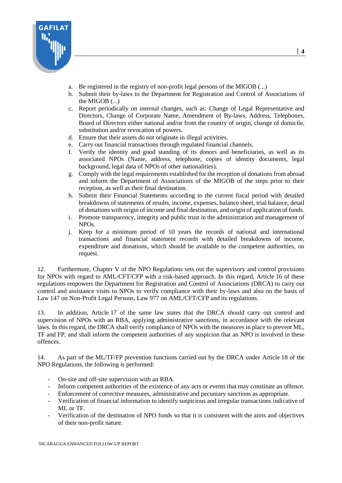

- a. Be registered in the registry of non-profit legal persons of the MIGOB (...)
- b. Submit their by-laws to the Department for Registration and Control of Associations of the MIGOB (...)
- c. Report periodically on internal changes, such as: Change of Legal Representative and Directors, Change of Corporate Name, Amendment of By-laws, Address, Telephones, Board of Directors either national and/or from the country of origin, change of domicile, substitution and/or revocation of powers.
- d. Ensure that their assets do not originate in illegal activities.
- e. Carry out financial transactions through regulated financial channels.
- f. Verify the identity and good standing of its donors and beneficiaries, as well as its associated NPOs (Name, address, telephone, copies of identity documents, legal background, legal data of NPOs of other nationalities).
- g. Comply with the legal requirements established for the reception of donations from abroad and inform the Department of Associations of the MIGOB of the steps prior to their reception, as well as their final destination.
- h. Submit their Financial Statements according to the current fiscal period with detailed breakdowns of statements of results, income, expenses, balance sheet, trial balance, detail of donations with origin of income and final destination, and origin of application of funds.
- i. Promote transparency, integrity and public trust in the administration and management of NPOs.
- j. Keep for a minimum period of 10 years the records of national and international transactions and financial statement records with detailed breakdowns of income, expenditure and donations, which should be available to the competent authorities, on request.

12. Furthermore, Chapter V of the NPO Regulations sets out the supervisory and control provisions for NPOs with regard to AML/CFT/CFP with a risk-based approach. In this regard, Article 16 of these regulations empowers the Department for Registration and Control of Associations (DRCA) to carry out control and assistance visits to NPOs to verify compliance with their by-laws and also on the basis of Law 147 on Non-Profit Legal Persons, Law 977 on AML/CFT/CFP and its regulations.

13. In addition, Article 17 of the same law states that the DRCA should carry out control and supervision of NPOs with an RBA, applying administrative sanctions, in accordance with the relevant laws. In this regard, the DRCA shall verify compliance of NPOs with the measures in place to prevent ML, TF and FP, and shall inform the competent authorities of any suspicion that an NPO is involved in these offences.

14. As part of the ML/TF/FP prevention functions carried out by the DRCA under Article 18 of the NPO Regulations, the following is performed:

- On-site and off-site supervision with an RBA.
- Inform competent authorities of the existence of any acts or events that may constitute an offence.
- Enforcement of corrective measures, administrative and pecuniary sanctions as appropriate.
- Verification of financial information to identify suspicious and irregular transactions indicative of ML or TF.
- Verification of the destination of NPO funds so that it is consistent with the aims and objectives of their non-profit nature.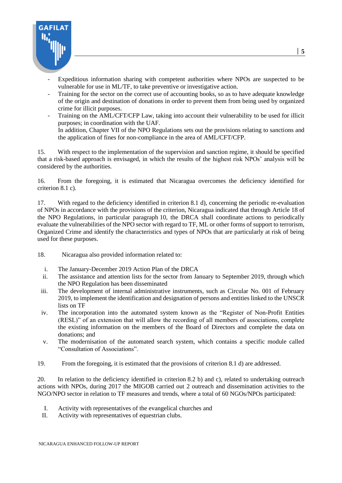

- Expeditious information sharing with competent authorities where NPOs are suspected to be vulnerable for use in ML/TF, to take preventive or investigative action.
- Training for the sector on the correct use of accounting books, so as to have adequate knowledge of the origin and destination of donations in order to prevent them from being used by organized crime for illicit purposes.
- Training on the AML/CFT/CFP Law, taking into account their vulnerability to be used for illicit purposes; in coordination with the UAF. In addition, Chapter VII of the NPO Regulations sets out the provisions relating to sanctions and the application of fines for non-compliance in the area of AML/CFT/CFP.

15. With respect to the implementation of the supervision and sanction regime, it should be specified that a risk-based approach is envisaged, in which the results of the highest risk NPOs' analysis will be considered by the authorities.

16. From the foregoing, it is estimated that Nicaragua overcomes the deficiency identified for criterion 8.1 c).

17. With regard to the deficiency identified in criterion 8.1 d), concerning the periodic re-evaluation of NPOs in accordance with the provisions of the criterion, Nicaragua indicated that through Article 18 of the NPO Regulations, in particular paragraph 10, the DRCA shall coordinate actions to periodically evaluate the vulnerabilities of the NPO sector with regard to TF, ML or other forms of support to terrorism, Organized Crime and identify the characteristics and types of NPOs that are particularly at risk of being used for these purposes.

- 18. Nicaragua also provided information related to:
	- i. The January-December 2019 Action Plan of the DRCA
	- ii. The assistance and attention lists for the sector from January to September 2019, through which the NPO Regulation has been disseminated
- iii. The development of internal administrative instruments, such as Circular No. 001 of February 2019, to implement the identification and designation of persons and entities linked to the UNSCR lists on TF
- iv. The incorporation into the automated system known as the "Register of Non-Profit Entities (RESL)" of an extension that will allow the recording of all members of associations, complete the existing information on the members of the Board of Directors and complete the data on donations; and
- v. The modernisation of the automated search system, which contains a specific module called "Consultation of Associations".
- 19. From the foregoing, it is estimated that the provisions of criterion 8.1 d) are addressed.

20. In relation to the deficiency identified in criterion 8.2 b) and c), related to undertaking outreach actions with NPOs, during 2017 the MIGOB carried out 2 outreach and dissemination activities to the NGO/NPO sector in relation to TF measures and trends, where a total of 60 NGOs/NPOs participated:

- I. Activity with representatives of the evangelical churches and
- II. Activity with representatives of equestrian clubs.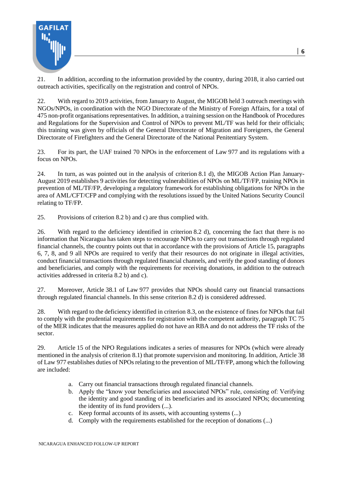

21. In addition, according to the information provided by the country, during 2018, it also carried out outreach activities, specifically on the registration and control of NPOs.

**│ 6**

22. With regard to 2019 activities, from January to August, the MIGOB held 3 outreach meetings with NGOs/NPOs, in coordination with the NGO Directorate of the Ministry of Foreign Affairs, for a total of 475 non-profit organisations representatives. In addition, a training session on the Handbook of Procedures and Regulations for the Supervision and Control of NPOs to prevent ML/TF was held for their officials; this training was given by officials of the General Directorate of Migration and Foreigners, the General Directorate of Firefighters and the General Directorate of the National Penitentiary System.

23. For its part, the UAF trained 70 NPOs in the enforcement of Law 977 and its regulations with a focus on NPOs.

24. In turn, as was pointed out in the analysis of criterion 8.1 d), the MIGOB Action Plan January-August 2019 establishes 9 activities for detecting vulnerabilities of NPOs on ML/TF/FP, training NPOs in prevention of ML/TF/FP, developing a regulatory framework for establishing obligations for NPOs in the area of AML/CFT/CFP and complying with the resolutions issued by the United Nations Security Council relating to TF/FP.

25. Provisions of criterion 8.2 b) and c) are thus complied with.

26. With regard to the deficiency identified in criterion 8.2 d), concerning the fact that there is no information that Nicaragua has taken steps to encourage NPOs to carry out transactions through regulated financial channels, the country points out that in accordance with the provisions of Article 15, paragraphs 6, 7, 8, and 9 all NPOs are required to verify that their resources do not originate in illegal activities, conduct financial transactions through regulated financial channels, and verify the good standing of donors and beneficiaries, and comply with the requirements for receiving donations, in addition to the outreach activities addressed in criteria 8.2 b) and c).

27. Moreover, Article 38.1 of Law 977 provides that NPOs should carry out financial transactions through regulated financial channels. In this sense criterion 8.2 d) is considered addressed.

28. With regard to the deficiency identified in criterion 8.3, on the existence of fines for NPOs that fail to comply with the prudential requirements for registration with the competent authority, paragraph TC 75 of the MER indicates that the measures applied do not have an RBA and do not address the TF risks of the sector.

29. Article 15 of the NPO Regulations indicates a series of measures for NPOs (which were already mentioned in the analysis of criterion 8.1) that promote supervision and monitoring. In addition, Article 38 of Law 977 establishes duties of NPOs relating to the prevention of ML/TF/FP, among which the following are included:

- a. Carry out financial transactions through regulated financial channels.
- b. Apply the "know your beneficiaries and associated NPOs" rule, consisting of: Verifying the identity and good standing of its beneficiaries and its associated NPOs; documenting the identity of its fund providers (...).
- c. Keep formal accounts of its assets, with accounting systems (...)
- d. Comply with the requirements established for the reception of donations (...)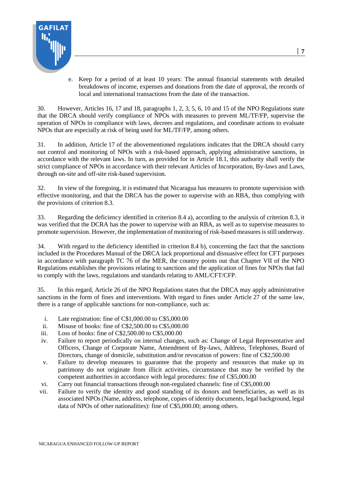

e. Keep for a period of at least 10 years: The annual financial statements with detailed breakdowns of income, expenses and donations from the date of approval, the records of local and international transactions from the date of the transaction.

30. However, Articles 16, 17 and 18, paragraphs 1, 2, 3, 5, 6, 10 and 15 of the NPO Regulations state that the DRCA should verify compliance of NPOs with measures to prevent ML/TF/FP, supervise the operation of NPOs in compliance with laws, decrees and regulations, and coordinate actions to evaluate NPOs that are especially at risk of being used for ML/TF/FP, among others.

31. In addition, Article 17 of the abovementioned regulations indicates that the DRCA should carry out control and monitoring of NPOs with a risk-based approach, applying administrative sanctions, in accordance with the relevant laws. In turn, as provided for in Article 18.1, this authority shall verify the strict compliance of NPOs in accordance with their relevant Articles of Incorporation, By-laws and Laws, through on-site and off-site risk-based supervision.

32. In view of the foregoing, it is estimated that Nicaragua has measures to promote supervision with effective monitoring, and that the DRCA has the power to supervise with an RBA, thus complying with the provisions of criterion 8.3.

33. Regarding the deficiency identified in criterion 8.4 a), according to the analysis of criterion 8.3, it was verified that the DCRA has the power to supervise with an RBA, as well as to supervise measures to promote supervision. However, the implementation of monitoring of risk-based measures is still underway.

34. With regard to the deficiency identified in criterion 8.4 b), concerning the fact that the sanctions included in the Procedures Manual of the DRCA lack proportional and dissuasive effect for CFT purposes in accordance with paragraph TC 76 of the MER, the country points out that Chapter VII of the NPO Regulations establishes the provisions relating to sanctions and the application of fines for NPOs that fail to comply with the laws, regulations and standards relating to AML/CFT/CFP.

35. In this regard, Article 26 of the NPO Regulations states that the DRCA may apply administrative sanctions in the form of fines and interventions. With regard to fines under Article 27 of the same law, there is a range of applicable sanctions for non-compliance, such as:

- i. Late registration: fine of C\$1,000.00 to C\$5,000.00
- ii. Misuse of books: fine of C\$2,500.00 to C\$5,000.00
- iii. Loss of books: fine of C\$2,500.00 to C\$5,000.00
- iv. Failure to report periodically on internal changes, such as: Change of Legal Representative and Officers, Change of Corporate Name, Amendment of By-laws, Address, Telephones, Board of Directors, change of domicile, substitution and/or revocation of powers: fine of C\$2,500.00
- v. Failure to develop measures to guarantee that the property and resources that make up its patrimony do not originate from illicit activities, circumstance that may be verified by the competent authorities in accordance with legal procedures: fine of C\$5,000.00
- vi. Carry out financial transactions through non-regulated channels: fine of C\$5,000.00
- vii. Failure to verify the identity and good standing of its donors and beneficiaries, as well as its associated NPOs (Name, address, telephone, copies of identity documents, legal background, legal data of NPOs of other nationalities): fine of C\$5,000.00; among others.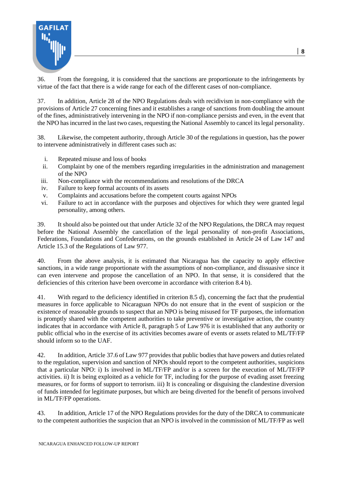

36. From the foregoing, it is considered that the sanctions are proportionate to the infringements by virtue of the fact that there is a wide range for each of the different cases of non-compliance.

37. In addition, Article 28 of the NPO Regulations deals with recidivism in non-compliance with the provisions of Article 27 concerning fines and it establishes a range of sanctions from doubling the amount of the fines, administratively intervening in the NPO if non-compliance persists and even, in the event that the NPO has incurred in the last two cases, requesting the National Assembly to cancel its legal personality.

38. Likewise, the competent authority, through Article 30 of the regulations in question, has the power to intervene administratively in different cases such as:

- i. Repeated misuse and loss of books
- ii. Complaint by one of the members regarding irregularities in the administration and management of the NPO
- iii. Non-compliance with the recommendations and resolutions of the DRCA
- iv. Failure to keep formal accounts of its assets
- v. Complaints and accusations before the competent courts against NPOs
- vi. Failure to act in accordance with the purposes and objectives for which they were granted legal personality, among others.

39. It should also be pointed out that under Article 32 of the NPO Regulations, the DRCA may request before the National Assembly the cancellation of the legal personality of non-profit Associations, Federations, Foundations and Confederations, on the grounds established in Article 24 of Law 147 and Article 15.3 of the Regulations of Law 977.

40. From the above analysis, it is estimated that Nicaragua has the capacity to apply effective sanctions, in a wide range proportionate with the assumptions of non-compliance, and dissuasive since it can even intervene and propose the cancellation of an NPO. In that sense, it is considered that the deficiencies of this criterion have been overcome in accordance with criterion 8.4 b).

41. With regard to the deficiency identified in criterion 8.5 d), concerning the fact that the prudential measures in force applicable to Nicaraguan NPOs do not ensure that in the event of suspicion or the existence of reasonable grounds to suspect that an NPO is being misused for TF purposes, the information is promptly shared with the competent authorities to take preventive or investigative action, the country indicates that in accordance with Article 8, paragraph 5 of Law 976 it is established that any authority or public official who in the exercise of its activities becomes aware of events or assets related to ML/TF/FP should inform so to the UAF.

42. In addition, Article 37.6 of Law 977 provides that public bodies that have powers and duties related to the regulation, supervision and sanction of NPOs should report to the competent authorities, suspicions that a particular NPO: i) Is involved in ML/TF/FP and/or is a screen for the execution of ML/TF/FP activities. ii) It is being exploited as a vehicle for TF, including for the purpose of evading asset freezing measures, or for forms of support to terrorism. iii) It is concealing or disguising the clandestine diversion of funds intended for legitimate purposes, but which are being diverted for the benefit of persons involved in ML/TF/FP operations.

43. In addition, Article 17 of the NPO Regulations provides for the duty of the DRCA to communicate to the competent authorities the suspicion that an NPO is involved in the commission of ML/TF/FP as well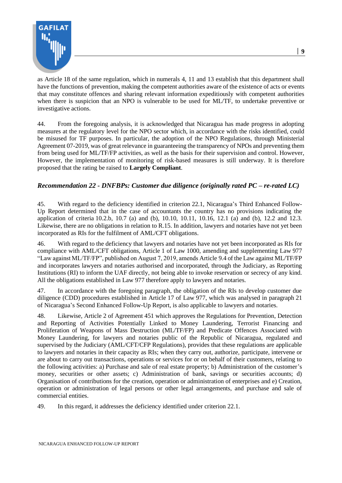

as Article 18 of the same regulation, which in numerals 4, 11 and 13 establish that this department shall have the functions of prevention, making the competent authorities aware of the existence of acts or events that may constitute offences and sharing relevant information expeditiously with competent authorities when there is suspicion that an NPO is vulnerable to be used for ML/TF, to undertake preventive or investigative actions.

44. From the foregoing analysis, it is acknowledged that Nicaragua has made progress in adopting measures at the regulatory level for the NPO sector which, in accordance with the risks identified, could be misused for TF purposes. In particular, the adoption of the NPO Regulations, through Ministerial Agreement 07-2019, was of great relevance in guaranteeing the transparency of NPOs and preventing them from being used for ML/TF/FP activities, as well as the basis for their supervision and control. However, However, the implementation of monitoring of risk-based measures is still underway. It is therefore proposed that the rating be raised to **Largely Compliant**.

#### *Recommendation 22 - DNFBPs: Customer due diligence (originally rated PC – re-rated LC)*

45. With regard to the deficiency identified in criterion 22.1, Nicaragua's Third Enhanced Follow-Up Report determined that in the case of accountants the country has no provisions indicating the application of criteria 10.2.b, 10.7 (a) and (b), 10.10, 10.11, 10.16, 12.1 (a) and (b), 12.2 and 12.3. Likewise, there are no obligations in relation to R.15. In addition, lawyers and notaries have not yet been incorporated as RIs for the fulfilment of AML/CFT obligations.

46. With regard to the deficiency that lawyers and notaries have not yet been incorporated as RIs for compliance with AML/CFT obligations, Article 1 of Law 1000, amending and supplementing Law 977 "Law against ML/TF/FP", published on August 7, 2019, amends Article 9.4 of the Law against ML/TF/FP and incorporates lawyers and notaries authorised and incorporated, through the Judiciary, as Reporting Institutions (RI) to inform the UAF directly, not being able to invoke reservation or secrecy of any kind. All the obligations established in Law 977 therefore apply to lawyers and notaries.

47. In accordance with the foregoing paragraph, the obligation of the RIs to develop customer due diligence (CDD) procedures established in Article 17 of Law 977, which was analysed in paragraph 21 of Nicaragua's Second Enhanced Follow-Up Report, is also applicable to lawyers and notaries.

48. Likewise, Article 2 of Agreement 451 which approves the Regulations for Prevention, Detection and Reporting of Activities Potentially Linked to Money Laundering, Terrorist Financing and Proliferation of Weapons of Mass Destruction (ML/TF/FP) and Predicate Offences Associated with Money Laundering, for lawyers and notaries public of the Republic of Nicaragua, regulated and supervised by the Judiciary (AML/CFT/CFP Regulations), provides that these regulations are applicable to lawyers and notaries in their capacity as RIs; when they carry out, authorize, participate, intervene or are about to carry out transactions, operations or services for or on behalf of their customers, relating to the following activities: a) Purchase and sale of real estate property; b) Administration of the customer's money, securities or other assets; c) Administration of bank, savings or securities accounts; d) Organisation of contributions for the creation, operation or administration of enterprises and e) Creation, operation or administration of legal persons or other legal arrangements, and purchase and sale of commercial entities.

49. In this regard, it addresses the deficiency identified under criterion 22.1.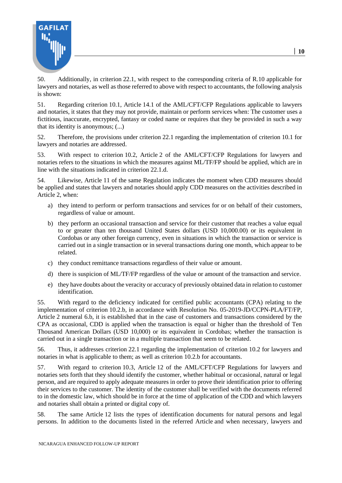

50. Additionally, in criterion 22.1, with respect to the corresponding criteria of R.10 applicable for lawyers and notaries, as well as those referred to above with respect to accountants, the following analysis is shown:

51. Regarding criterion 10.1, Article 14.1 of the AML/CFT/CFP Regulations applicable to lawyers and notaries, it states that they may not provide, maintain or perform services when: The customer uses a fictitious, inaccurate, encrypted, fantasy or coded name or requires that they be provided in such a way that its identity is anonymous; (...)

52. Therefore, the provisions under criterion 22.1 regarding the implementation of criterion 10.1 for lawyers and notaries are addressed.

53. With respect to criterion 10.2, Article 2 of the AML/CFT/CFP Regulations for lawyers and notaries refers to the situations in which the measures against ML/TF/FP should be applied, which are in line with the situations indicated in criterion 22.1.d.

54. Likewise, Article 11 of the same Regulation indicates the moment when CDD measures should be applied and states that lawyers and notaries should apply CDD measures on the activities described in Article 2, when:

- a) they intend to perform or perform transactions and services for or on behalf of their customers, regardless of value or amount.
- b) they perform an occasional transaction and service for their customer that reaches a value equal to or greater than ten thousand United States dollars (USD 10,000.00) or its equivalent in Cordobas or any other foreign currency, even in situations in which the transaction or service is carried out in a single transaction or in several transactions during one month, which appear to be related.
- c) they conduct remittance transactions regardless of their value or amount.
- d) there is suspicion of ML/TF/FP regardless of the value or amount of the transaction and service.
- e) they have doubts about the veracity or accuracy of previously obtained data in relation to customer identification.

55. With regard to the deficiency indicated for certified public accountants (CPA) relating to the implementation of criterion 10.2.b, in accordance with Resolution No. 05-2019-JD/CCPN-PLA/FT/FP, Article 2 numeral 6.b, it is established that in the case of customers and transactions considered by the CPA as occasional, CDD is applied when the transaction is equal or higher than the threshold of Ten Thousand American Dollars (USD 10,000) or its equivalent in Cordobas; whether the transaction is carried out in a single transaction or in a multiple transaction that seem to be related.

56. Thus, it addresses criterion 22.1 regarding the implementation of criterion 10.2 for lawyers and notaries in what is applicable to them; as well as criterion 10.2.b for accountants.

57. With regard to criterion 10.3, Article 12 of the AML/CFT/CFP Regulations for lawyers and notaries sets forth that they should identify the customer, whether habitual or occasional, natural or legal person, and are required to apply adequate measures in order to prove their identification prior to offering their services to the customer. The identity of the customer shall be verified with the documents referred to in the domestic law, which should be in force at the time of application of the CDD and which lawyers and notaries shall obtain a printed or digital copy of.

58. The same Article 12 lists the types of identification documents for natural persons and legal persons. In addition to the documents listed in the referred Article and when necessary, lawyers and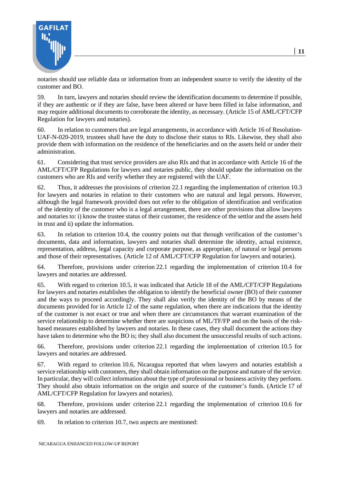

notaries should use reliable data or information from an independent source to verify the identity of the customer and BO.

59. In turn, lawyers and notaries should review the identification documents to determine if possible, if they are authentic or if they are false, have been altered or have been filled in false information, and may require additional documents to corroborate the identity, as necessary. (Article 15 of AML/CFT/CFP Regulation for lawyers and notaries).

60. In relation to customers that are legal arrangements, in accordance with Article 16 of Resolution-UAF-N-020-2019, trustees shall have the duty to disclose their status to RIs. Likewise, they shall also provide them with information on the residence of the beneficiaries and on the assets held or under their administration.

61. Considering that trust service providers are also RIs and that in accordance with Article 16 of the AML/CFT/CFP Regulations for lawyers and notaries public, they should update the information on the customers who are RIs and verify whether they are registered with the UAF.

62. Thus, it addresses the provisions of criterion 22.1 regarding the implementation of criterion 10.3 for lawyers and notaries in relation to their customers who are natural and legal persons. However, although the legal framework provided does not refer to the obligation of identification and verification of the identity of the customer who is a legal arrangement, there are other provisions that allow lawyers and notaries to: i) know the trustee status of their customer, the residence of the settlor and the assets held in trust and ii) update the information.

63. In relation to criterion 10.4, the country points out that through verification of the customer's documents, data and information, lawyers and notaries shall determine the identity, actual existence, representation, address, legal capacity and corporate purpose, as appropriate, of natural or legal persons and those of their representatives. (Article 12 of AML/CFT/CFP Regulation for lawyers and notaries).

64. Therefore, provisions under criterion 22.1 regarding the implementation of criterion 10.4 for lawyers and notaries are addressed.

65. With regard to criterion 10.5, it was indicated that Article 18 of the AML/CFT/CFP Regulations for lawyers and notaries establishes the obligation to identify the beneficial owner (BO) of their customer and the ways to proceed accordingly. They shall also verify the identity of the BO by means of the documents provided for in Article 12 of the same regulation, when there are indications that the identity of the customer is not exact or true and when there are circumstances that warrant examination of the service relationship to determine whether there are suspicions of ML/TF/FP and on the basis of the riskbased measures established by lawyers and notaries. In these cases, they shall document the actions they have taken to determine who the BO is; they shall also document the unsuccessful results of such actions.

66. Therefore, provisions under criterion 22.1 regarding the implementation of criterion 10.5 for lawyers and notaries are addressed.

67. With regard to criterion 10.6, Nicaragua reported that when lawyers and notaries establish a service relationship with customers, they shall obtain information on the purpose and nature of the service. In particular, they will collect information about the type of professional or business activity they perform. They should also obtain information on the origin and source of the customer's funds. (Article 17 of AML/CFT/CFP Regulation for lawyers and notaries).

68. Therefore, provisions under criterion 22.1 regarding the implementation of criterion 10.6 for lawyers and notaries are addressed.

69. In relation to criterion 10.7, two aspects are mentioned: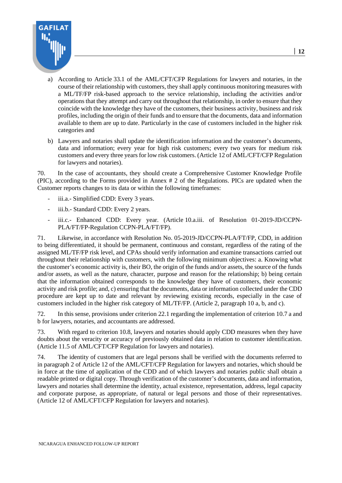

- a) According to Article 33.1 of the AML/CFT/CFP Regulations for lawyers and notaries, in the course of their relationship with customers, they shall apply continuous monitoring measures with a ML/TF/FP risk-based approach to the service relationship, including the activities and/or operations that they attempt and carry out throughout that relationship, in order to ensure that they coincide with the knowledge they have of the customers, their business activity, business and risk profiles, including the origin of their funds and to ensure that the documents, data and information available to them are up to date. Particularly in the case of customers included in the higher risk categories and
- b) Lawyers and notaries shall update the identification information and the customer's documents, data and information; every year for high risk customers; every two years for medium risk customers and every three years for low risk customers. (Article 12 of AML/CFT/CFP Regulation for lawyers and notaries).

70. In the case of accountants, they should create a Comprehensive Customer Knowledge Profile (PIC), according to the Forms provided in Annex # 2 of the Regulations. PICs are updated when the Customer reports changes to its data or within the following timeframes:

- iii.a.- Simplified CDD: Every 3 years.
- iii.b.- Standard CDD: Every 2 years.
- iii.c.- Enhanced CDD: Every year. (Article 10.a.iii. of Resolution 01-2019-JD/CCPN-PLA/FT/FP-Regulation CCPN-PLA/FT/FP).

71. Likewise, in accordance with Resolution No. 05-2019-JD/CCPN-PLA/FT/FP, CDD, in addition to being differentiated, it should be permanent, continuous and constant, regardless of the rating of the assigned ML/TF/FP risk level, and CPAs should verify information and examine transactions carried out throughout their relationship with customers, with the following minimum objectives: a. Knowing what the customer's economic activity is, their BO, the origin of the funds and/or assets, the source of the funds and/or assets, as well as the nature, character, purpose and reason for the relationship; b) being certain that the information obtained corresponds to the knowledge they have of customers, their economic activity and risk profile; and, c) ensuring that the documents, data or information collected under the CDD procedure are kept up to date and relevant by reviewing existing records, especially in the case of customers included in the higher risk category of ML/TF/FP. (Article 2, paragraph 10 a, b, and c).

72. In this sense, provisions under criterion 22.1 regarding the implementation of criterion 10.7 a and b for lawyers, notaries, and accountants are addressed.

73. With regard to criterion 10.8, lawyers and notaries should apply CDD measures when they have doubts about the veracity or accuracy of previously obtained data in relation to customer identification. (Article 11.5 of AML/CFT/CFP Regulation for lawyers and notaries).

74. The identity of customers that are legal persons shall be verified with the documents referred to in paragraph 2 of Article 12 of the AML/CFT/CFP Regulation for lawyers and notaries, which should be in force at the time of application of the CDD and of which lawyers and notaries public shall obtain a readable printed or digital copy. Through verification of the customer's documents, data and information, lawyers and notaries shall determine the identity, actual existence, representation, address, legal capacity and corporate purpose, as appropriate, of natural or legal persons and those of their representatives. (Article 12 of AML/CFT/CFP Regulation for lawyers and notaries).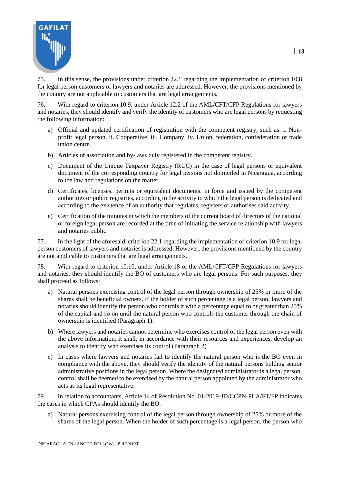

75. In this sense, the provisions under criterion 22.1 regarding the implementation of criterion 10.8 for legal person customers of lawyers and notaries are addressed. However, the provisions mentioned by the country are not applicable to customers that are legal arrangements.

76. With regard to criterion 10.9, under Article 12.2 of the AML/CFT/CFP Regulations for lawyers and notaries, they should identify and verify the identity of customers who are legal persons by requesting the following information:

- a) Official and updated certification of registration with the competent registry, such as: i. Nonprofit legal person. ii. Cooperative. iii. Company. iv. Union, federation, confederation or trade union centre.
- b) Articles of association and by-laws duly registered in the competent registry.
- c) Document of the Unique Taxpayer Registry (RUC) in the case of legal persons or equivalent document of the corresponding country for legal persons not domiciled in Nicaragua, according to the law and regulations on the matter.
- d) Certificates, licenses, permits or equivalent documents, in force and issued by the competent authorities or public registries, according to the activity to which the legal person is dedicated and according to the existence of an authority that regulates, registers or authorises said activity.
- e) Certification of the minutes in which the members of the current board of directors of the national or foreign legal person are recorded at the time of initiating the service relationship with lawyers and notaries public.

77. In the light of the aforesaid, criterion 22.1 regarding the implementation of criterion 10.9 for legal person customers of lawyers and notaries is addressed. However, the provisions mentioned by the country are not applicable to customers that are legal arrangements.

78. With regard to criterion 10.10, under Article 18 of the AML/CFT/CFP Regulations for lawyers and notaries, they should identify the BO of customers who are legal persons. For such purposes, they shall proceed as follows:

- a) Natural persons exercising control of the legal person through ownership of 25% or more of the shares shall be beneficial owners. If the holder of such percentage is a legal person, lawyers and notaries should identify the person who controls it with a percentage equal to or greater than 25% of the capital and so on until the natural person who controls the customer through the chain of ownership is identified (Paragraph 1).
- b) Where lawyers and notaries cannot determine who exercises control of the legal person even with the above information, it shall, in accordance with their resources and experiences, develop an analysis to identify who exercises its control (Paragraph 2)
- c) In cases where lawyers and notaries fail to identify the natural person who is the BO even in compliance with the above, they should verify the identity of the natural persons holding senior administrative positions in the legal person. Where the designated administrator is a legal person, control shall be deemed to be exercised by the natural person appointed by the administrator who acts as its legal representative.

79. In relation to accountants, Article 14 of Resolution No. 01-2019-JD/CCPN-PLA/FT/FP indicates the cases in which CPAs should identify the BO:

a) Natural persons exercising control of the legal person through ownership of 25% or more of the shares of the legal person. When the holder of such percentage is a legal person, the person who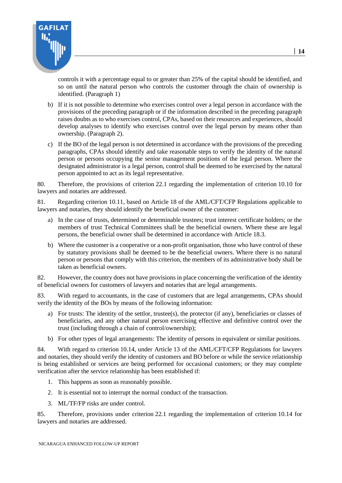

controls it with a percentage equal to or greater than 25% of the capital should be identified, and so on until the natural person who controls the customer through the chain of ownership is identified. (Paragraph 1)

- b) If it is not possible to determine who exercises control over a legal person in accordance with the provisions of the preceding paragraph or if the information described in the preceding paragraph raises doubts as to who exercises control, CPAs, based on their resources and experiences, should develop analyses to identify who exercises control over the legal person by means other than ownership. (Paragraph 2).
- c) If the BO of the legal person is not determined in accordance with the provisions of the preceding paragraphs, CPAs should identify and take reasonable steps to verify the identity of the natural person or persons occupying the senior management positions of the legal person. Where the designated administrator is a legal person, control shall be deemed to be exercised by the natural person appointed to act as its legal representative.

80. Therefore, the provisions of criterion 22.1 regarding the implementation of criterion 10.10 for lawyers and notaries are addressed.

81. Regarding criterion 10.11, based on Article 18 of the AML/CFT/CFP Regulations applicable to lawyers and notaries, they should identify the beneficial owner of the customer:

- a) In the case of trusts, determined or determinable trustees; trust interest certificate holders; or the members of trust Technical Committees shall be the beneficial owners. Where these are legal persons, the beneficial owner shall be determined in accordance with Article 18.3.
- b) Where the customer is a cooperative or a non-profit organisation, those who have control of these by statutory provisions shall be deemed to be the beneficial owners. Where there is no natural person or persons that comply with this criterion, the members of its administrative body shall be taken as beneficial owners.

82. However, the country does not have provisions in place concerning the verification of the identity of beneficial owners for customers of lawyers and notaries that are legal arrangements.

83. With regard to accountants, in the case of customers that are legal arrangements, CPAs should verify the identity of the BOs by means of the following information:

- a) For trusts: The identity of the settlor, trustee(s), the protector (if any), beneficiaries or classes of beneficiaries, and any other natural person exercising effective and definitive control over the trust (including through a chain of control/ownership);
- b) For other types of legal arrangements: The identity of persons in equivalent or similar positions.

84. With regard to criterion 10.14, under Article 13 of the AML/CFT/CFP Regulations for lawyers and notaries, they should verify the identity of customers and BO before or while the service relationship is being established or services are being performed for occasional customers; or they may complete verification after the service relationship has been established if:

- 1. This happens as soon as reasonably possible.
- 2. It is essential not to interrupt the normal conduct of the transaction.
- 3. ML/TF/FP risks are under control.

85. Therefore, provisions under criterion 22.1 regarding the implementation of criterion 10.14 for lawyers and notaries are addressed.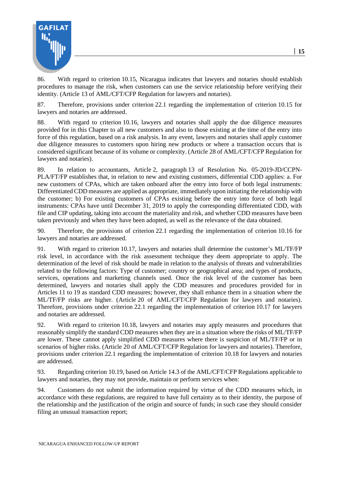

86. With regard to criterion 10.15, Nicaragua indicates that lawyers and notaries should establish procedures to manage the risk, when customers can use the service relationship before verifying their identity. (Article 13 of AML/CFT/CFP Regulation for lawyers and notaries).

87. Therefore, provisions under criterion 22.1 regarding the implementation of criterion 10.15 for lawyers and notaries are addressed.

88. With regard to criterion 10.16, lawyers and notaries shall apply the due diligence measures provided for in this Chapter to all new customers and also to those existing at the time of the entry into force of this regulation, based on a risk analysis. In any event, lawyers and notaries shall apply customer due diligence measures to customers upon hiring new products or where a transaction occurs that is considered significant because of its volume or complexity. (Article 28 of AML/CFT/CFP Regulation for lawyers and notaries).

89. In relation to accountants, Article 2, paragraph 13 of Resolution No. 05-2019-JD/CCPN-PLA/FT/FP establishes that, in relation to new and existing customers, differential CDD applies: a. For new customers of CPAs, which are taken onboard after the entry into force of both legal instruments: Differentiated CDD measures are applied as appropriate, immediately upon initiating the relationship with the customer; b) For existing customers of CPAs existing before the entry into force of both legal instruments: CPAs have until December 31, 2019 to apply the corresponding differentiated CDD, with file and CIP updating, taking into account the materiality and risk, and whether CDD measures have been taken previously and when they have been adopted, as well as the relevance of the data obtained.

90. Therefore, the provisions of criterion 22.1 regarding the implementation of criterion 10.16 for lawyers and notaries are addressed.

91. With regard to criterion 10.17, lawyers and notaries shall determine the customer's ML/TF/FP risk level, in accordance with the risk assessment technique they deem appropriate to apply. The determination of the level of risk should be made in relation to the analysis of threats and vulnerabilities related to the following factors: Type of customer; country or geographical area; and types of products, services, operations and marketing channels used. Once the risk level of the customer has been determined, lawyers and notaries shall apply the CDD measures and procedures provided for in Articles 11 to 19 as standard CDD measures; however, they shall enhance them in a situation where the ML/TF/FP risks are higher. (Article 20 of AML/CFT/CFP Regulation for lawyers and notaries). Therefore, provisions under criterion 22.1 regarding the implementation of criterion 10.17 for lawyers and notaries are addressed.

92. With regard to criterion 10.18, lawyers and notaries may apply measures and procedures that reasonably simplify the standard CDD measures when they are in a situation where the risks of ML/TF/FP are lower. These cannot apply simplified CDD measures where there is suspicion of ML/TF/FP or in scenarios of higher risks. (Article 20 of AML/CFT/CFP Regulation for lawyers and notaries). Therefore, provisions under criterion 22.1 regarding the implementation of criterion 10.18 for lawyers and notaries are addressed.

93. Regarding criterion 10.19, based on Article 14.3 of the AML/CFT/CFP Regulations applicable to lawyers and notaries, they may not provide, maintain or perform services when:

94. Customers do not submit the information required by virtue of the CDD measures which, in accordance with these regulations, are required to have full certainty as to their identity, the purpose of the relationship and the justification of the origin and source of funds; in such case they should consider filing an unusual transaction report;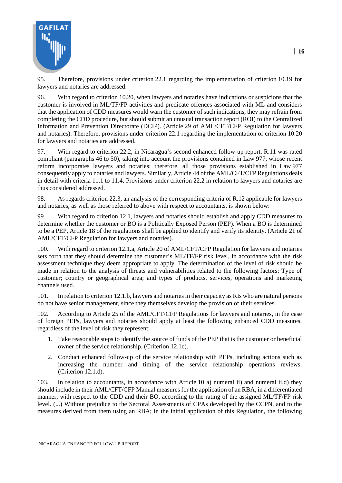

95. Therefore, provisions under criterion 22.1 regarding the implementation of criterion 10.19 for lawyers and notaries are addressed.

96. With regard to criterion 10.20, when lawyers and notaries have indications or suspicions that the customer is involved in ML/TF/FP activities and predicate offences associated with ML and considers that the application of CDD measures would warn the customer of such indications, they may refrain from completing the CDD procedure, but should submit an unusual transaction report (ROI) to the Centralized Information and Prevention Directorate (DCIP). (Article 29 of AML/CFT/CFP Regulation for lawyers and notaries). Therefore, provisions under criterion 22.1 regarding the implementation of criterion 10.20 for lawyers and notaries are addressed.

97. With regard to criterion 22.2, in Nicaragua's second enhanced follow-up report, R.11 was rated compliant (paragraphs 46 to 50), taking into account the provisions contained in Law 977, whose recent reform incorporates lawyers and notaries; therefore, all those provisions established in Law 977 consequently apply to notaries and lawyers. Similarly, Article 44 of the AML/CFT/CFP Regulations deals in detail with criteria 11.1 to 11.4. Provisions under criterion 22.2 in relation to lawyers and notaries are thus considered addressed.

98. As regards criterion 22.3, an analysis of the corresponding criteria of R.12 applicable for lawyers and notaries, as well as those referred to above with respect to accountants, is shown below:

99. With regard to criterion 12.1, lawyers and notaries should establish and apply CDD measures to determine whether the customer or BO is a Politically Exposed Person (PEP). When a BO is determined to be a PEP, Article 18 of the regulations shall be applied to identify and verify its identity. (Article 21 of AML/CFT/CFP Regulation for lawyers and notaries).

100. With regard to criterion 12.1.a, Article 20 of AML/CFT/CFP Regulation for lawyers and notaries sets forth that they should determine the customer's ML/TF/FP risk level, in accordance with the risk assessment technique they deem appropriate to apply. The determination of the level of risk should be made in relation to the analysis of threats and vulnerabilities related to the following factors: Type of customer; country or geographical area; and types of products, services, operations and marketing channels used.

101. In relation to criterion 12.1.b, lawyers and notaries in their capacity as RIs who are natural persons do not have senior management, since they themselves develop the provision of their services.

102. According to Article 25 of the AML/CFT/CFP Regulations for lawyers and notaries, in the case of foreign PEPs, lawyers and notaries should apply at least the following enhanced CDD measures, regardless of the level of risk they represent:

- 1. Take reasonable steps to identify the source of funds of the PEP that is the customer or beneficial owner of the service relationship. (Criterion 12.1c).
- 2. Conduct enhanced follow-up of the service relationship with PEPs, including actions such as increasing the number and timing of the service relationship operations reviews. (Criterion 12.1.d).

103. In relation to accountants, in accordance with Article 10 a) numeral ii) and numeral ii.d) they should include in their AML/CFT/CFP Manual measures for the application of an RBA, in a differentiated manner, with respect to the CDD and their BO, according to the rating of the assigned ML/TF/FP risk level. (...) Without prejudice to the Sectoral Assessments of CPAs developed by the CCPN, and to the measures derived from them using an RBA; in the initial application of this Regulation, the following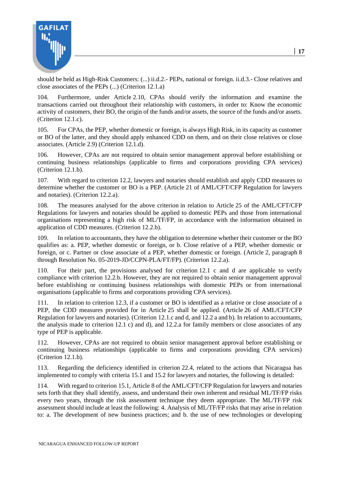

should be held as High-Risk Customers: (...) ii.d.2.- PEPs, national or foreign. ii.d.3.- Close relatives and close associates of the PEPs (...) (Criterion 12.1.a)

104. Furthermore, under Article 2.10, CPAs should verify the information and examine the transactions carried out throughout their relationship with customers, in order to: Know the economic activity of customers, their BO, the origin of the funds and/or assets, the source of the funds and/or assets. (Criterion 12.1.c).

105. For CPAs, the PEP, whether domestic or foreign, is always High Risk, in its capacity as customer or BO of the latter, and they should apply enhanced CDD on them, and on their close relatives or close associates. (Article 2.9) (Criterion 12.1.d).

106. However, CPAs are not required to obtain senior management approval before establishing or continuing business relationships (applicable to firms and corporations providing CPA services) (Criterion 12.1.b).

107. With regard to criterion 12.2, lawyers and notaries should establish and apply CDD measures to determine whether the customer or BO is a PEP. (Article 21 of AML/CFT/CFP Regulation for lawyers and notaries). (Criterion 12.2.a).

108. The measures analysed for the above criterion in relation to Article 25 of the AML/CFT/CFP Regulations for lawyers and notaries should be applied to domestic PEPs and those from international organisations representing a high risk of ML/TF/FP, in accordance with the information obtained in application of CDD measures. (Criterion 12.2.b).

109. In relation to accountants, they have the obligation to determine whether their customer or the BO qualifies as: a. PEP, whether domestic or foreign, or b. Close relative of a PEP, whether domestic or foreign, or c. Partner or close associate of a PEP, whether domestic or foreign. (Article 2, paragraph 8 through Resolution No. 05-2019-JD/CCPN-PLA/FT/FP). (Criterion 12.2.a).

110. For their part, the provisions analysed for criterion 12.1 c and d are applicable to verify compliance with criterion 12.2.b. However, they are not required to obtain senior management approval before establishing or continuing business relationships with domestic PEPs or from international organisations (applicable to firms and corporations providing CPA services).

111. In relation to criterion 12.3, if a customer or BO is identified as a relative or close associate of a PEP, the CDD measures provided for in Article 25 shall be applied. (Article 26 of AML/CFT/CFP Regulation for lawyers and notaries). (Criterion 12.1.c and d, and 12.2 a and b). In relation to accountants, the analysis made to criterion 12.1 c) and d), and 12.2.a for family members or close associates of any type of PEP is applicable.

112. However, CPAs are not required to obtain senior management approval before establishing or continuing business relationships (applicable to firms and corporations providing CPA services) (Criterion 12.1.b).

113. Regarding the deficiency identified in criterion 22.4, related to the actions that Nicaragua has implemented to comply with criteria 15.1 and 15.2 for lawyers and notaries, the following is detailed:

114. With regard to criterion 15.1, Article 8 of the AML/CFT/CFP Regulation for lawyers and notaries sets forth that they shall identify, assess, and understand their own inherent and residual ML/TF/FP risks every two years, through the risk assessment technique they deem appropriate. The ML/TF/FP risk assessment should include at least the following: 4. Analysis of ML/TF/FP risks that may arise in relation to: a. The development of new business practices; and b. the use of new technologies or developing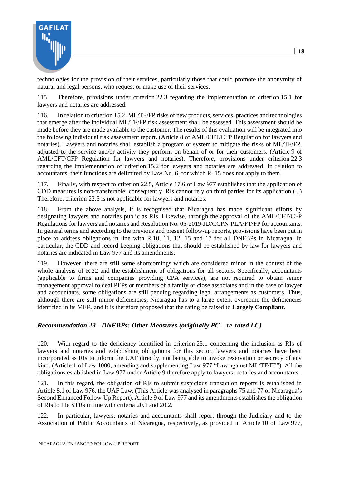

technologies for the provision of their services, particularly those that could promote the anonymity of natural and legal persons, who request or make use of their services.

115. Therefore, provisions under criterion 22.3 regarding the implementation of criterion 15.1 for lawyers and notaries are addressed.

116. In relation to criterion 15.2, ML/TF/FP risks of new products, services, practices and technologies that emerge after the individual ML/TF/FP risk assessment shall be assessed. This assessment should be made before they are made available to the customer. The results of this evaluation will be integrated into the following individual risk assessment report. (Article 8 of AML/CFT/CFP Regulation for lawyers and notaries). Lawyers and notaries shall establish a program or system to mitigate the risks of ML/TF/FP, adjusted to the service and/or activity they perform on behalf of or for their customers. (Article 9 of AML/CFT/CFP Regulation for lawyers and notaries). Therefore, provisions under criterion 22.3 regarding the implementation of criterion 15.2 for lawyers and notaries are addressed. In relation to accountants, their functions are delimited by Law No. 6, for which R. 15 does not apply to them.

117. Finally, with respect to criterion 22.5, Article 17.6 of Law 977 establishes that the application of CDD measures is non-transferable; consequently, RIs cannot rely on third parties for its application (...) Therefore, criterion 22.5 is not applicable for lawyers and notaries.

118. From the above analysis, it is recognised that Nicaragua has made significant efforts by designating lawyers and notaries public as RIs. Likewise, through the approval of the AML/CFT/CFP Regulations for lawyers and notaries and Resolution No. 05-2019-JD/CCPN-PLA/FT/FP for accountants. In general terms and according to the previous and present follow-up reports, provisions have been put in place to address obligations in line with R.10, 11, 12, 15 and 17 for all DNFBPs in Nicaragua. In particular, the CDD and record keeping obligations that should be established by law for lawyers and notaries are indicated in Law 977 and its amendments.

119. However, there are still some shortcomings which are considered minor in the context of the whole analysis of R.22 and the establishment of obligations for all sectors. Specifically, accountants (applicable to firms and companies providing CPA services), are not required to obtain senior management approval to deal PEPs or members of a family or close associates and in the case of lawyer and accountants, some obligations are still pending regarding legal arrangements as customers. Thus, although there are still minor deficiencies, Nicaragua has to a large extent overcome the deficiencies identified in its MER, and it is therefore proposed that the rating be raised to **Largely Compliant**.

#### *Recommendation 23 - DNFBPs: Other Measures (originally PC – re-rated LC)*

120. With regard to the deficiency identified in criterion 23.1 concerning the inclusion as RIs of lawyers and notaries and establishing obligations for this sector, lawyers and notaries have been incorporated as RIs to inform the UAF directly, not being able to invoke reservation or secrecy of any kind. (Article 1 of Law 1000, amending and supplementing Law 977 "Law against ML/TF/FP"). All the obligations established in Law 977 under Article 9 therefore apply to lawyers, notaries and accountants.

121. In this regard, the obligation of RIs to submit suspicious transaction reports is established in Article 8.1 of Law 976, the UAF Law. (This Article was analysed in paragraphs 75 and 77 of Nicaragua's Second Enhanced Follow-Up Report). Article 9 of Law 977 and its amendments establishes the obligation of RIs to file STRs in line with criteria 20.1 and 20.2.

122. In particular, lawyers, notaries and accountants shall report through the Judiciary and to the Association of Public Accountants of Nicaragua, respectively, as provided in Article 10 of Law 977,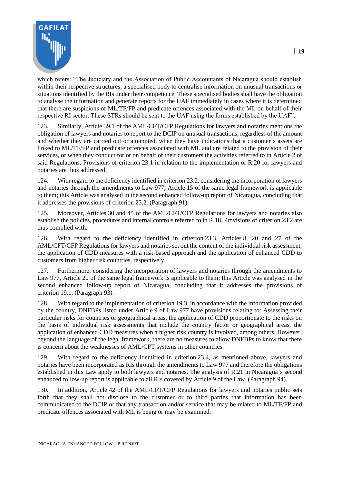

which refers: "The Judiciary and the Association of Public Accountants of Nicaragua should establish within their respective structures, a specialised body to centralise information on unusual transactions or situations identified by the RIs under their competence. These specialised bodies shall have the obligation to analyse the information and generate reports for the UAF immediately in cases where it is determined that there are suspicions of ML/TF/FP and predicate offences associated with the ML on behalf of their respective RI sector. These STRs should be sent to the UAF using the forms established by the UAF".

123. Similarly, Article 39.1 of the AML/CFT/CFP Regulations for lawyers and notaries mentions the obligation of lawyers and notaries to report to the DCIP on unusual transactions, regardless of the amount and whether they are carried out or attempted, when they have indications that a customer's assets are linked to ML/TF/FP and predicate offences associated with ML and are related to the provision of their services, or when they conduct for or on behalf of their customers the activities referred to in Article 2 of said Regulations. Provisions of criterion 23.1 in relation to the implementation of R.20 for lawyers and notaries are thus addressed.

124. With regard to the deficiency identified in criterion 23.2, considering the incorporation of lawyers and notaries through the amendments to Law 977, Article 15 of the same legal framework is applicable to them; this Article was analysed in the second enhanced follow-up report of Nicaragua, concluding that it addresses the provisions of criterion 23.2. (Paragraph 91).

125. Moreover, Articles 30 and 45 of the AML/CFT/CFP Regulations for lawyers and notaries also establish the policies, procedures and internal controls referred to in R.18. Provisions of criterion 23.2 are thus complied with.

126. With regard to the deficiency identified in criterion 23.3, Articles 8, 20 and 27 of the AML/CFT/CFP Regulations for lawyers and notaries set out the content of the individual risk assessment, the application of CDD measures with a risk-based approach and the application of enhanced CDD to customers from higher risk countries, respectively.

127. Furthermore, considering the incorporation of lawyers and notaries through the amendments to Law 977, Article 20 of the same legal framework is applicable to them; this Article was analysed in the second enhanced follow-up report of Nicaragua, concluding that it addresses the provisions of criterion 19.1. (Paragraph 93).

128. With regard to the implementation of criterion 19.3, in accordance with the information provided by the country, DNFBPs listed under Article 9 of Law 977 have provisions relating to: Assessing their particular risks for countries or geographical areas, the application of CDD proportionate to the risks on the basis of individual risk assessments that include the country factor or geographical areas, the application of enhanced CDD measures when a higher risk country is involved, among others. However, beyond the language of the legal framework, there are no measures to allow DNFBPs to know that there is concern about the weaknesses of AML/CFT systems in other countries.

129. With regard to the deficiency identified in criterion 23.4, as mentioned above, lawyers and notaries have been incorporated as RIs through the amendments to Law 977 and therefore the obligations established in this Law apply to both lawyers and notaries. The analysis of R.21 in Nicaragua's second enhanced follow-up report is applicable to all RIs covered by Article 9 of the Law. (Paragraph 94).

130. In addition, Article 42 of the AML/CFT/CFP Regulations for lawyers and notaries public sets forth that they shall not disclose to the customer or to third parties that information has been communicated to the DCIP or that any transaction and/or service that may be related to ML/TF/FP and predicate offences associated with ML is being or may be examined.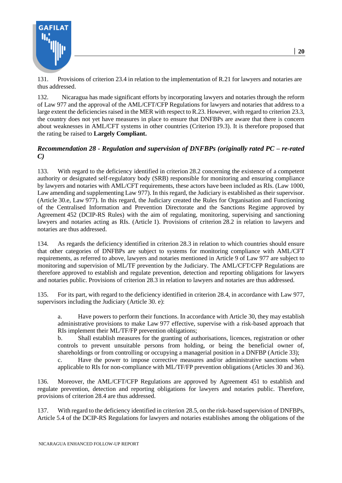

131. Provisions of criterion 23.4 in relation to the implementation of R.21 for lawyers and notaries are thus addressed.

132. Nicaragua has made significant efforts by incorporating lawyers and notaries through the reform of Law 977 and the approval of the AML/CFT/CFP Regulations for lawyers and notaries that address to a large extent the deficiencies raised in the MER with respect to R.23. However, with regard to criterion 23.3, the country does not yet have measures in place to ensure that DNFBPs are aware that there is concern about weaknesses in AML/CFT systems in other countries (Criterion 19.3). It is therefore proposed that the rating be raised to **Largely Compliant.**

#### *Recommendation 28 - Regulation and supervision of DNFBPs (originally rated PC – re-rated C)*

133. With regard to the deficiency identified in criterion 28.2 concerning the existence of a competent authority or designated self-regulatory body (SRB) responsible for monitoring and ensuring compliance by lawyers and notaries with AML/CFT requirements, these actors have been included as RIs. (Law 1000, Law amending and supplementing Law 977). In this regard, the Judiciary is established as their supervisor. (Article 30.e, Law 977). In this regard, the Judiciary created the Rules for Organisation and Functioning of the Centralised Information and Prevention Directorate and the Sanctions Regime approved by Agreement 452 (DCIP-RS Rules) with the aim of regulating, monitoring, supervising and sanctioning lawyers and notaries acting as RIs. (Article 1). Provisions of criterion 28.2 in relation to lawyers and notaries are thus addressed.

134. As regards the deficiency identified in criterion 28.3 in relation to which countries should ensure that other categories of DNFBPs are subject to systems for monitoring compliance with AML/CFT requirements, as referred to above, lawyers and notaries mentioned in Article 9 of Law 977 are subject to monitoring and supervision of ML/TF prevention by the Judiciary. The AML/CFT/CFP Regulations are therefore approved to establish and regulate prevention, detection and reporting obligations for lawyers and notaries public. Provisions of criterion 28.3 in relation to lawyers and notaries are thus addressed.

135. For its part, with regard to the deficiency identified in criterion 28.4, in accordance with Law 977, supervisors including the Judiciary (Article 30. e):

a. Have powers to perform their functions. In accordance with Article 30, they may establish administrative provisions to make Law 977 effective, supervise with a risk-based approach that RIs implement their ML/TF/FP prevention obligations;

b. Shall establish measures for the granting of authorisations, licences, registration or other controls to prevent unsuitable persons from holding, or being the beneficial owner of, shareholdings or from controlling or occupying a managerial position in a DNFBP (Article 33);

c. Have the power to impose corrective measures and/or administrative sanctions when applicable to RIs for non-compliance with ML/TF/FP prevention obligations (Articles 30 and 36).

136. Moreover, the AML/CFT/CFP Regulations are approved by Agreement 451 to establish and regulate prevention, detection and reporting obligations for lawyers and notaries public. Therefore, provisions of criterion 28.4 are thus addressed.

137. With regard to the deficiency identified in criterion 28.5, on the risk-based supervision of DNFBPs, Article 5.4 of the DCIP-RS Regulations for lawyers and notaries establishes among the obligations of the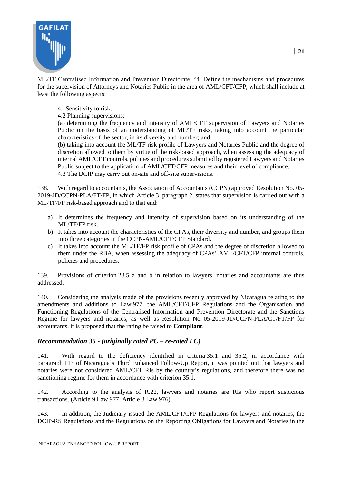

ML/TF Centralised Information and Prevention Directorate: "4. Define the mechanisms and procedures for the supervision of Attorneys and Notaries Public in the area of AML/CFT/CFP, which shall include at least the following aspects:

4.1Sensitivity to risk,

4.2 Planning supervisions:

(a) determining the frequency and intensity of AML/CFT supervision of Lawyers and Notaries Public on the basis of an understanding of ML/TF risks, taking into account the particular characteristics of the sector, in its diversity and number; and

(b) taking into account the ML/TF risk profile of Lawyers and Notaries Public and the degree of discretion allowed to them by virtue of the risk-based approach, when assessing the adequacy of internal AML/CFT controls, policies and procedures submitted by registered Lawyers and Notaries Public subject to the application of AML/CFT/CFP measures and their level of compliance. 4.3 The DCIP may carry out on-site and off-site supervisions.

138. With regard to accountants, the Association of Accountants (CCPN) approved Resolution No. 05- 2019-JD/CCPN-PLA/FT/FP, in which Article 3, paragraph 2, states that supervision is carried out with a ML/TF/FP risk-based approach and to that end:

- a) It determines the frequency and intensity of supervision based on its understanding of the ML/TF/FP risk.
- b) It takes into account the characteristics of the CPAs, their diversity and number, and groups them into three categories in the CCPN-AML/CFT/CFP Standard.
- c) It takes into account the ML/TF/FP risk profile of CPAs and the degree of discretion allowed to them under the RBA, when assessing the adequacy of CPAs' AML/CFT/CFP internal controls, policies and procedures.

139. Provisions of criterion 28.5 a and b in relation to lawyers, notaries and accountants are thus addressed.

140. Considering the analysis made of the provisions recently approved by Nicaragua relating to the amendments and additions to Law 977, the AML/CFT/CFP Regulations and the Organisation and Functioning Regulations of the Centralised Information and Prevention Directorate and the Sanctions Regime for lawyers and notaries; as well as Resolution No. 05-2019-JD/CCPN-PLA/CT/FT/FP for accountants, it is proposed that the rating be raised to **Compliant**.

## *Recommendation 35 - (originally rated PC – re-rated LC)*

141. With regard to the deficiency identified in criteria 35.1 and 35.2, in accordance with paragraph 113 of Nicaragua's Third Enhanced Follow-Up Report, it was pointed out that lawyers and notaries were not considered AML/CFT RIs by the country's regulations, and therefore there was no sanctioning regime for them in accordance with criterion 35.1.

142. According to the analysis of R.22, lawyers and notaries are RIs who report suspicious transactions. (Article 9 Law 977, Article 8 Law 976).

143. In addition, the Judiciary issued the AML/CFT/CFP Regulations for lawyers and notaries, the DCIP-RS Regulations and the Regulations on the Reporting Obligations for Lawyers and Notaries in the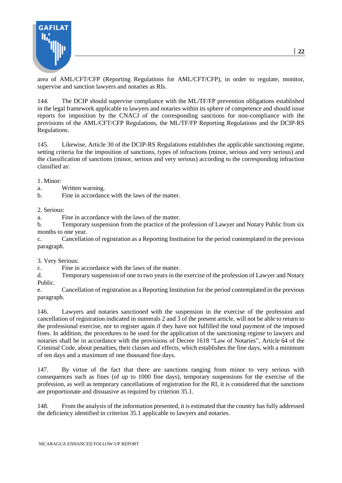

area of AML/CFT/CFP (Reporting Regulations for AML/CFT/CFP), in order to regulate, monitor, supervise and sanction lawyers and notaries as RIs.

144. The DCIP should supervise compliance with the ML/TF/FP prevention obligations established in the legal framework applicable to lawyers and notaries within its sphere of competence and should issue reports for imposition by the CNACJ of the corresponding sanctions for non-compliance with the provisions of the AML/CFT/CFP Regulations, the ML/TF/FP Reporting Regulations and the DCIP-RS Regulations.

145. Likewise, Article 30 of the DCIP-RS Regulations establishes the applicable sanctioning regime, setting criteria for the imposition of sanctions, types of infractions (minor, serious and very serious) and the classification of sanctions (minor, serious and very serious) according to the corresponding infraction classified as:

1. Minor:

a. Written warning.

b. Fine in accordance with the laws of the matter.

2. Serious:

a. Fine in accordance with the laws of the matter.

b. Temporary suspension from the practice of the profession of Lawyer and Notary Public from six months to one year.

c. Cancellation of registration as a Reporting Institution for the period contemplated in the previous paragraph.

3. Very Serious:

c. Fine in accordance with the laws of the matter.

d. Temporary suspension of one to two years in the exercise of the profession of Lawyer and Notary Public.

e. Cancellation of registration as a Reporting Institution for the period contemplated in the previous paragraph.

146. Lawyers and notaries sanctioned with the suspension in the exercise of the profession and cancellation of registration indicated in numerals 2 and 3 of the present article, will not be able to return to the professional exercise, nor to register again if they have not fulfilled the total payment of the imposed fines. In addition, the procedures to be used for the application of the sanctioning regime to lawyers and notaries shall be in accordance with the provisions of Decree 1618 "Law of Notaries", Article 64 of the Criminal Code, about penalties, their classes and effects, which establishes the fine days, with a minimum of ten days and a maximum of one thousand fine days.

147. By virtue of the fact that there are sanctions ranging from minor to very serious with consequences such as fines (of up to 1000 fine days), temporary suspensions for the exercise of the profession, as well as temporary cancellations of registration for the RI, it is considered that the sanctions are proportionate and dissuasive as required by criterion 35.1.

148. From the analysis of the information presented, it is estimated that the country has fully addressed the deficiency identified in criterion 35.1 applicable to lawyers and notaries.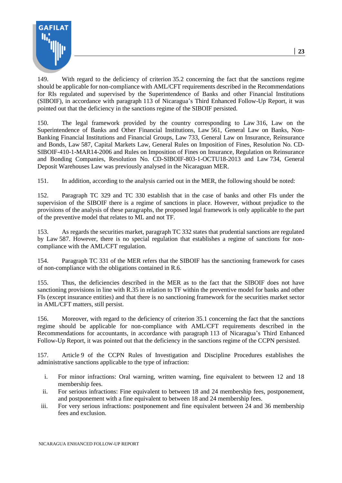

149. With regard to the deficiency of criterion 35.2 concerning the fact that the sanctions regime should be applicable for non-compliance with AML/CFT requirements described in the Recommendations for RIs regulated and supervised by the Superintendence of Banks and other Financial Institutions (SIBOIF), in accordance with paragraph 113 of Nicaragua's Third Enhanced Follow-Up Report, it was pointed out that the deficiency in the sanctions regime of the SIBOIF persisted.

150. The legal framework provided by the country corresponding to Law 316, Law on the Superintendence of Banks and Other Financial Institutions, Law 561, General Law on Banks, Non-Banking Financial Institutions and Financial Groups, Law 733, General Law on Insurance, Reinsurance and Bonds, Law 587, Capital Markets Law, General Rules on Imposition of Fines, Resolution No. CD-SIBOIF-410-1-MAR14-2006 and Rules on Imposition of Fines on Insurance, Regulation on Reinsurance and Bonding Companies, Resolution No. CD-SIBOIF-803-1-OCTU18-2013 and Law 734, General Deposit Warehouses Law was previously analysed in the Nicaraguan MER.

151. In addition, according to the analysis carried out in the MER, the following should be noted:

152. Paragraph TC 329 and TC 330 establish that in the case of banks and other FIs under the supervision of the SIBOIF there is a regime of sanctions in place. However, without prejudice to the provisions of the analysis of these paragraphs, the proposed legal framework is only applicable to the part of the preventive model that relates to ML and not TF.

153. As regards the securities market, paragraph TC 332 states that prudential sanctions are regulated by Law 587. However, there is no special regulation that establishes a regime of sanctions for noncompliance with the AML/CFT regulation.

154. Paragraph TC 331 of the MER refers that the SIBOIF has the sanctioning framework for cases of non-compliance with the obligations contained in R.6.

155. Thus, the deficiencies described in the MER as to the fact that the SIBOIF does not have sanctioning provisions in line with R.35 in relation to TF within the preventive model for banks and other FIs (except insurance entities) and that there is no sanctioning framework for the securities market sector in AML/CFT matters, still persist.

156. Moreover, with regard to the deficiency of criterion 35.1 concerning the fact that the sanctions regime should be applicable for non-compliance with AML/CFT requirements described in the Recommendations for accountants, in accordance with paragraph 113 of Nicaragua's Third Enhanced Follow-Up Report, it was pointed out that the deficiency in the sanctions regime of the CCPN persisted.

157. Article 9 of the CCPN Rules of Investigation and Discipline Procedures establishes the administrative sanctions applicable to the type of infraction:

- i. For minor infractions: Oral warning, written warning, fine equivalent to between 12 and 18 membership fees.
- ii. For serious infractions: Fine equivalent to between 18 and 24 membership fees, postponement, and postponement with a fine equivalent to between 18 and 24 membership fees.
- iii. For very serious infractions: postponement and fine equivalent between 24 and 36 membership fees and exclusion.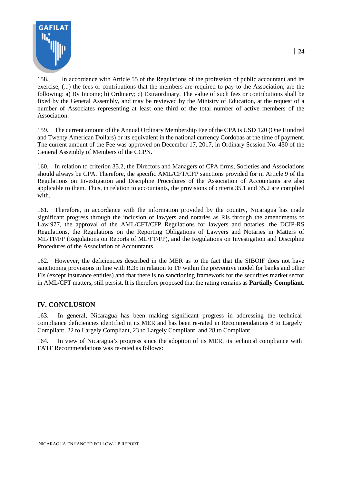

158. In accordance with Article 55 of the Regulations of the profession of public accountant and its exercise, (...) the fees or contributions that the members are required to pay to the Association, are the following: a) By Income; b) Ordinary; c) Extraordinary. The value of such fees or contributions shall be fixed by the General Assembly, and may be reviewed by the Ministry of Education, at the request of a number of Associates representing at least one third of the total number of active members of the Association.

159. The current amount of the Annual Ordinary Membership Fee of the CPA is USD 120 (One Hundred and Twenty American Dollars) or its equivalent in the national currency Cordobas at the time of payment. The current amount of the Fee was approved on December 17, 2017, in Ordinary Session No. 430 of the General Assembly of Members of the CCPN.

160. In relation to criterion 35.2, the Directors and Managers of CPA firms, Societies and Associations should always be CPA. Therefore, the specific AML/CFT/CFP sanctions provided for in Article 9 of the Regulations on Investigation and Discipline Procedures of the Association of Accountants are also applicable to them. Thus, in relation to accountants, the provisions of criteria 35.1 and 35.2 are complied with.

161. Therefore, in accordance with the information provided by the country, Nicaragua has made significant progress through the inclusion of lawyers and notaries as RIs through the amendments to Law 977, the approval of the AML/CFT/CFP Regulations for lawyers and notaries, the DCIP-RS Regulations, the Regulations on the Reporting Obligations of Lawyers and Notaries in Matters of ML/TF/FP (Regulations on Reports of ML/FT/FP), and the Regulations on Investigation and Discipline Procedures of the Association of Accountants.

162. However, the deficiencies described in the MER as to the fact that the SIBOIF does not have sanctioning provisions in line with R.35 in relation to TF within the preventive model for banks and other FIs (except insurance entities) and that there is no sanctioning framework for the securities market sector in AML/CFT matters, still persist. It is therefore proposed that the rating remains as **Partially Compliant**.

#### **IV. CONCLUSION**

163. In general, Nicaragua has been making significant progress in addressing the technical compliance deficiencies identified in its MER and has been re-rated in Recommendations 8 to Largely Compliant, 22 to Largely Compliant, 23 to Largely Compliant, and 28 to Compliant.

164. In view of Nicaragua's progress since the adoption of its MER, its technical compliance with FATF Recommendations was re-rated as follows: